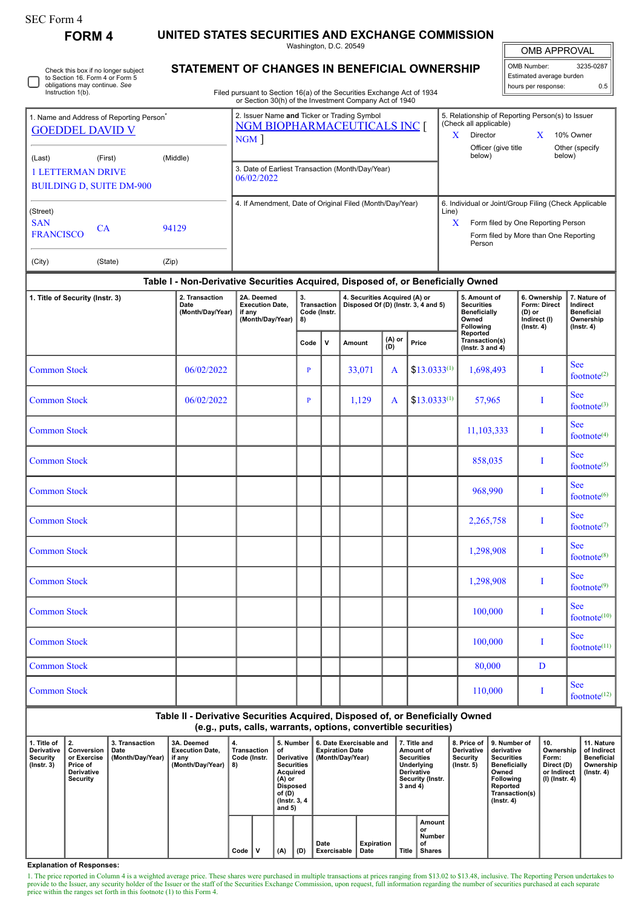| <b>SEC Form 4</b><br><b>FORM4</b>                                                                                            | UNITED STATES SECURITIES AND EXCHANGE COMMISSION                                                                       |                                                                    |                                                                                    |              |                                                                                                                                                                   |                                                       |                  |  |                                                                                |                                                                                     |                                                                                |
|------------------------------------------------------------------------------------------------------------------------------|------------------------------------------------------------------------------------------------------------------------|--------------------------------------------------------------------|------------------------------------------------------------------------------------|--------------|-------------------------------------------------------------------------------------------------------------------------------------------------------------------|-------------------------------------------------------|------------------|--|--------------------------------------------------------------------------------|-------------------------------------------------------------------------------------|--------------------------------------------------------------------------------|
|                                                                                                                              |                                                                                                                        |                                                                    |                                                                                    |              | Washington, D.C. 20549                                                                                                                                            |                                                       |                  |  |                                                                                | <b>OMB APPROVAL</b>                                                                 |                                                                                |
| Check this box if no longer subject<br>to Section 16. Form 4 or Form 5<br>obligations may continue. See<br>Instruction 1(b). | STATEMENT OF CHANGES IN BENEFICIAL OWNERSHIP<br>Filed pursuant to Section 16(a) of the Securities Exchange Act of 1934 |                                                                    | OMB Number:<br>3235-0287<br>Estimated average burden<br>0.5<br>hours per response: |              |                                                                                                                                                                   |                                                       |                  |  |                                                                                |                                                                                     |                                                                                |
|                                                                                                                              |                                                                                                                        | or Section 30(h) of the Investment Company Act of 1940             |                                                                                    |              |                                                                                                                                                                   |                                                       |                  |  |                                                                                |                                                                                     |                                                                                |
| 1. Name and Address of Reporting Person <sup>®</sup><br><b>GOEDDEL DAVID V</b>                                               | 2. Issuer Name and Ticker or Trading Symbol<br><b>NGM BIOPHARMACEUTICALS INC [</b><br>NGM                              |                                                                    |                                                                                    |              | 5. Relationship of Reporting Person(s) to Issuer<br>(Check all applicable)<br>Director<br>X<br>10% Owner<br>X.<br>Officer (give title<br>Other (specify<br>below) |                                                       |                  |  |                                                                                |                                                                                     |                                                                                |
| (Last)<br>(First)<br><b>1 LETTERMAN DRIVE</b><br><b>BUILDING D, SUITE DM-900</b>                                             | 3. Date of Earliest Transaction (Month/Day/Year)<br>06/02/2022                                                         |                                                                    |                                                                                    |              |                                                                                                                                                                   |                                                       |                  |  |                                                                                | below)                                                                              |                                                                                |
|                                                                                                                              | 4. If Amendment, Date of Original Filed (Month/Day/Year)                                                               |                                                                    |                                                                                    |              |                                                                                                                                                                   | 6. Individual or Joint/Group Filing (Check Applicable |                  |  |                                                                                |                                                                                     |                                                                                |
| (Street)<br><b>SAN</b><br><b>CA</b><br><b>FRANCISCO</b>                                                                      | Line)<br>X<br>Form filed by One Reporting Person<br>Form filed by More than One Reporting<br>Person                    |                                                                    |                                                                                    |              |                                                                                                                                                                   |                                                       |                  |  |                                                                                |                                                                                     |                                                                                |
| (City)<br>(State)                                                                                                            | (Zip)                                                                                                                  |                                                                    |                                                                                    |              |                                                                                                                                                                   |                                                       |                  |  |                                                                                |                                                                                     |                                                                                |
|                                                                                                                              | Table I - Non-Derivative Securities Acquired, Disposed of, or Beneficially Owned                                       |                                                                    |                                                                                    |              |                                                                                                                                                                   |                                                       |                  |  |                                                                                |                                                                                     |                                                                                |
| 1. Title of Security (Instr. 3)                                                                                              | 2. Transaction<br>Date<br>(Month/Day/Year)                                                                             | 2A. Deemed<br><b>Execution Date,</b><br>if any<br>(Month/Day/Year) | 3.<br>Transaction<br>Code (Instr.<br>8)                                            |              | 4. Securities Acquired (A) or<br>Disposed Of (D) (Instr. 3, 4 and 5)                                                                                              |                                                       |                  |  | 5. Amount of<br><b>Securities</b><br><b>Beneficially</b><br>Owned<br>Following | 6. Ownership<br><b>Form: Direct</b><br>$(D)$ or<br>Indirect (I)<br>$($ lnstr. 4 $)$ | 7. Nature of<br>Indirect<br><b>Beneficial</b><br>Ownership<br>$($ lnstr. 4 $)$ |
|                                                                                                                              |                                                                                                                        |                                                                    | Code                                                                               | $\mathsf{v}$ | Amount                                                                                                                                                            | (A) or<br>(D)                                         | Price            |  | Reported<br>Transaction(s)<br>( $lnstr. 3 and 4$ )                             |                                                                                     |                                                                                |
| <b>Common Stock</b>                                                                                                          | 06/02/2022                                                                                                             |                                                                    | P                                                                                  |              | 33,071                                                                                                                                                            | A                                                     | $$13.0333^{(1)}$ |  | 1,698,493                                                                      | 1                                                                                   | <b>See</b><br>footnote <sup>(2)</sup>                                          |
| <b>Common Stock</b>                                                                                                          | 06/02/2022                                                                                                             |                                                                    | P                                                                                  |              | 1,129                                                                                                                                                             | A                                                     | $$13.0333^{(1)}$ |  | 57,965                                                                         | 1                                                                                   | <b>See</b><br>footnote $(3)$                                                   |
| <b>Common Stock</b>                                                                                                          |                                                                                                                        |                                                                    |                                                                                    |              |                                                                                                                                                                   |                                                       |                  |  | 11, 103, 333                                                                   | 1                                                                                   | <b>See</b><br>footnote <sup>(4)</sup>                                          |
| <b>Common Stock</b>                                                                                                          |                                                                                                                        |                                                                    |                                                                                    |              |                                                                                                                                                                   |                                                       |                  |  | 858,035                                                                        | 1                                                                                   | <b>See</b><br>footnote $(5)$                                                   |
| <b>Common Stock</b>                                                                                                          |                                                                                                                        |                                                                    |                                                                                    |              |                                                                                                                                                                   |                                                       |                  |  | 968.990                                                                        |                                                                                     | <b>See</b><br>footnote <sup>(6)</sup>                                          |
| <b>Common Stock</b>                                                                                                          |                                                                                                                        |                                                                    |                                                                                    |              |                                                                                                                                                                   |                                                       |                  |  | 2,265,758                                                                      | I                                                                                   | <b>See</b><br>footnote <sup>(7)</sup>                                          |
| <b>Common Stock</b>                                                                                                          |                                                                                                                        |                                                                    |                                                                                    |              |                                                                                                                                                                   |                                                       |                  |  | 1,298,908                                                                      | Ι                                                                                   | <b>See</b><br>footnote <sup>(8)</sup>                                          |
| <b>Common Stock</b>                                                                                                          |                                                                                                                        |                                                                    |                                                                                    |              |                                                                                                                                                                   |                                                       |                  |  | 1,298,908                                                                      | I                                                                                   | <b>See</b><br>footnote <sup>(9)</sup>                                          |
| <b>Common Stock</b>                                                                                                          |                                                                                                                        |                                                                    |                                                                                    |              |                                                                                                                                                                   |                                                       |                  |  | 100,000                                                                        | Ι                                                                                   | <b>See</b><br>footnote <sup>(10)</sup>                                         |
| <b>Common Stock</b>                                                                                                          |                                                                                                                        |                                                                    |                                                                                    |              |                                                                                                                                                                   |                                                       |                  |  | 100,000                                                                        | Ι                                                                                   | <b>See</b><br>footnote <sup>(11)</sup>                                         |
| <b>Common Stock</b>                                                                                                          |                                                                                                                        |                                                                    |                                                                                    |              |                                                                                                                                                                   |                                                       |                  |  | 80,000                                                                         | D                                                                                   |                                                                                |
| <b>Common Stock</b>                                                                                                          |                                                                                                                        |                                                                    |                                                                                    |              |                                                                                                                                                                   |                                                       |                  |  | 110,000                                                                        | I                                                                                   | <b>See</b><br>footnote <sup>(12)</sup>                                         |
|                                                                                                                              | Table II - Derivative Securities Acquired, Disposed of, or Beneficially Owned                                          |                                                                    |                                                                                    |              |                                                                                                                                                                   |                                                       |                  |  |                                                                                |                                                                                     |                                                                                |

## **Table II - Derivative Securities Acquired, Disposed of, or Beneficially Owned (e.g., puts, calls, warrants, options, convertible securities)**

| 1. Title of<br><b>Derivative</b><br>Security<br>$($ lnstr. 3 $)$ |  | 2.<br>Conversion<br>or Exercise<br>, Price of<br><b>Derivative</b><br>Security | 3. Transaction<br>Date<br>(Month/Day/Year) | 3A. Deemed<br><b>Execution Date.</b><br>if any<br>(Month/Day/Year) | 4.<br>Transaction<br>Code (Instr.<br>8) |  | 5. Number<br>οf<br>Derivative<br><b>Securities</b><br>Acquired<br>(A) or<br>Disposed<br>of (D)<br>(Instr. 3, 4)<br>and $5)$ |     | 6. Date Exercisable and<br><b>Expiration Date</b><br>(Month/Day/Year) |                           | 7. Title and<br>Amount of<br><b>Securities</b><br>Underlying<br><b>Derivative</b><br><b>Security (Instr.</b><br>3 and 4) |                                               | <b>Derivative</b><br>Security<br>$($ lnstr. 5 $)$ | 8. Price of 19. Number of<br>derivative<br>Securities<br><b>Beneficially</b><br>Owned<br><b>Following</b><br>Reported<br>Transaction(s)<br>$($ lnstr. 4 $)$ | 10.<br>Ownership<br>Form:<br>Direct (D)<br>or Indirect<br>(I) (Instr. 4) | 11. Nature<br>of Indirect<br><b>Beneficial</b><br>Ownership<br>(Instr. 4) |
|------------------------------------------------------------------|--|--------------------------------------------------------------------------------|--------------------------------------------|--------------------------------------------------------------------|-----------------------------------------|--|-----------------------------------------------------------------------------------------------------------------------------|-----|-----------------------------------------------------------------------|---------------------------|--------------------------------------------------------------------------------------------------------------------------|-----------------------------------------------|---------------------------------------------------|-------------------------------------------------------------------------------------------------------------------------------------------------------------|--------------------------------------------------------------------------|---------------------------------------------------------------------------|
|                                                                  |  |                                                                                |                                            |                                                                    | Code                                    |  | (A)                                                                                                                         | (D) | Date<br>Exercisable                                                   | <b>Expiration</b><br>Date | Title                                                                                                                    | Amount<br>or<br>Number<br>of<br><b>Shares</b> |                                                   |                                                                                                                                                             |                                                                          |                                                                           |

**Explanation of Responses:**

1. The price reported in Column 4 is a weighted average price. These shares were purchased in multiple transactions at prices ranging from \$13.02 to \$13.48, inclusive. The Reporting Person undertakes to provide to the Issu